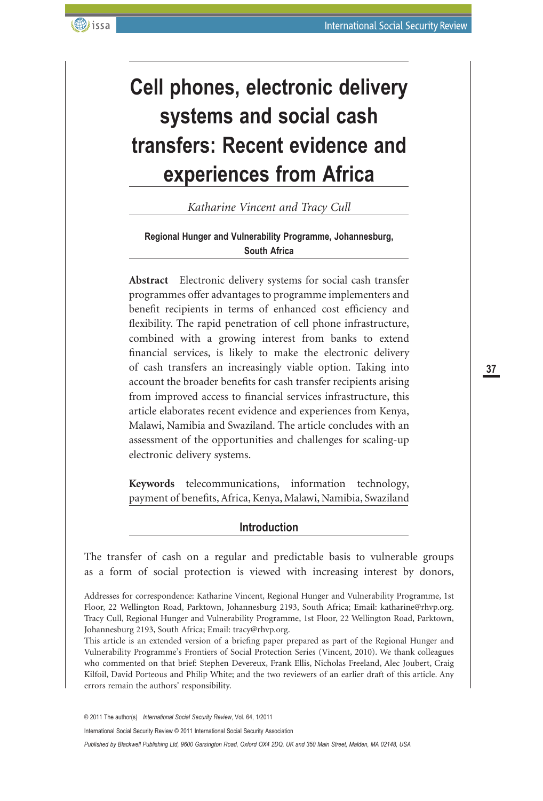# **Cell phones, electronic delivery systems and social cash transfers: Recent evidence and experiences from Africa**

*Katharine Vincent and Tracy Cull*

## **Regional Hunger and Vulnerability Programme, Johannesburg, South Africa**

**Abstract** Electronic delivery systems for social cash transfer programmes offer advantages to programme implementers and benefit recipients in terms of enhanced cost efficiency and flexibility. The rapid penetration of cell phone infrastructure, combined with a growing interest from banks to extend financial services, is likely to make the electronic delivery of cash transfers an increasingly viable option. Taking into account the broader benefits for cash transfer recipients arising from improved access to financial services infrastructure, this article elaborates recent evidence and experiences from Kenya, Malawi, Namibia and Swaziland. The article concludes with an assessment of the opportunities and challenges for scaling-up electronic delivery systems.

**Keywords** telecommunications, information technology, payment of benefits, Africa, Kenya, Malawi, Namibia, Swaziland

#### **Introduction**

The transfer of cash on a regular and predictable basis to vulnerable groups as a form of social protection is viewed with increasing interest by donors,

This article is an extended version of a briefing paper prepared as part of the Regional Hunger and Vulnerability Programme's Frontiers of Social Protection Series (Vincent, 2010). We thank colleagues who commented on that brief: Stephen Devereux, Frank Ellis, Nicholas Freeland, Alec Joubert, Craig Kilfoil, David Porteous and Philip White; and the two reviewers of an earlier draft of this article. Any errors remain the authors' responsibility.

© 2011 The author(s) *International Social Security Review*, Vol. 64, 1/2011

International Social Security Review © 2011 International Social Security Association

*Published by Blackwell Publishing Ltd, 9600 Garsington Road, Oxford OX4 2DQ, UK and 350 Main Street, Malden, MA 02148, USA*

Addresses for correspondence: Katharine Vincent, Regional Hunger and Vulnerability Programme, 1st Floor, 22 Wellington Road, Parktown, Johannesburg 2193, South Africa; Email: katharine@rhvp.org. Tracy Cull, Regional Hunger and Vulnerability Programme, 1st Floor, 22 Wellington Road, Parktown, Johannesburg 2193, South Africa; Email: tracy@rhvp.org.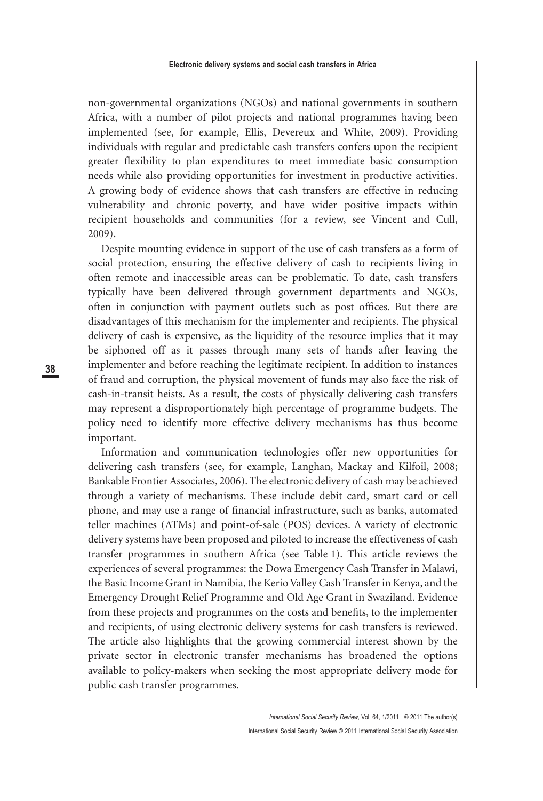non-governmental organizations (NGOs) and national governments in southern Africa, with a number of pilot projects and national programmes having been implemented (see, for example, Ellis, Devereux and White, 2009). Providing individuals with regular and predictable cash transfers confers upon the recipient greater flexibility to plan expenditures to meet immediate basic consumption needs while also providing opportunities for investment in productive activities. A growing body of evidence shows that cash transfers are effective in reducing vulnerability and chronic poverty, and have wider positive impacts within recipient households and communities (for a review, see Vincent and Cull, 2009).

Despite mounting evidence in support of the use of cash transfers as a form of social protection, ensuring the effective delivery of cash to recipients living in often remote and inaccessible areas can be problematic. To date, cash transfers typically have been delivered through government departments and NGOs, often in conjunction with payment outlets such as post offices. But there are disadvantages of this mechanism for the implementer and recipients. The physical delivery of cash is expensive, as the liquidity of the resource implies that it may be siphoned off as it passes through many sets of hands after leaving the implementer and before reaching the legitimate recipient. In addition to instances of fraud and corruption, the physical movement of funds may also face the risk of cash-in-transit heists. As a result, the costs of physically delivering cash transfers may represent a disproportionately high percentage of programme budgets. The policy need to identify more effective delivery mechanisms has thus become important.

Information and communication technologies offer new opportunities for delivering cash transfers (see, for example, Langhan, Mackay and Kilfoil, 2008; Bankable Frontier Associates, 2006). The electronic delivery of cash may be achieved through a variety of mechanisms. These include debit card, smart card or cell phone, and may use a range of financial infrastructure, such as banks, automated teller machines (ATMs) and point-of-sale (POS) devices. A variety of electronic delivery systems have been proposed and piloted to increase the effectiveness of cash transfer programmes in southern Africa (see Table 1). This article reviews the experiences of several programmes: the Dowa Emergency Cash Transfer in Malawi, the Basic Income Grant in Namibia, the Kerio Valley Cash Transfer in Kenya, and the Emergency Drought Relief Programme and Old Age Grant in Swaziland. Evidence from these projects and programmes on the costs and benefits, to the implementer and recipients, of using electronic delivery systems for cash transfers is reviewed. The article also highlights that the growing commercial interest shown by the private sector in electronic transfer mechanisms has broadened the options available to policy-makers when seeking the most appropriate delivery mode for public cash transfer programmes.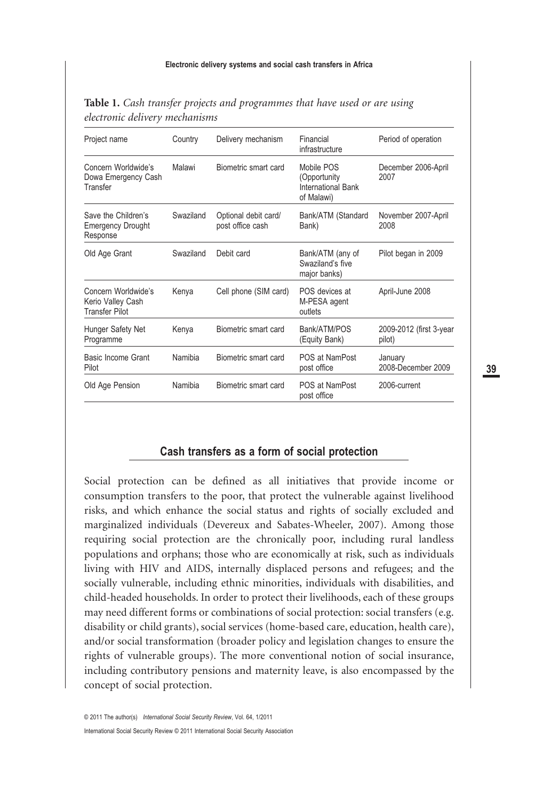| Project name                                                      | Country   | Delivery mechanism                       | Financial<br>infrastructure                                           | Period of operation               |
|-------------------------------------------------------------------|-----------|------------------------------------------|-----------------------------------------------------------------------|-----------------------------------|
| Concern Worldwide's<br>Dowa Emergency Cash<br>Transfer            | Malawi    | Biometric smart card                     | Mobile POS<br>(Opportunity<br><b>International Bank</b><br>of Malawi) | December 2006-April<br>2007       |
| Save the Children's<br><b>Emergency Drought</b><br>Response       | Swaziland | Optional debit card/<br>post office cash | Bank/ATM (Standard<br>Bank)                                           | November 2007-April<br>2008       |
| Old Age Grant                                                     | Swaziland | Debit card                               | Bank/ATM (any of<br>Swaziland's five<br>major banks)                  | Pilot began in 2009               |
| Concern Worldwide's<br>Kerio Valley Cash<br><b>Transfer Pilot</b> | Kenya     | Cell phone (SIM card)                    | POS devices at<br>M-PESA agent<br>outlets                             | April-June 2008                   |
| Hunger Safety Net<br>Programme                                    | Kenya     | Biometric smart card                     | Bank/ATM/POS<br>(Equity Bank)                                         | 2009-2012 (first 3-year<br>pilot) |
| Basic Income Grant<br>Pilot                                       | Namibia   | Biometric smart card                     | POS at NamPost<br>post office                                         | January<br>2008-December 2009     |
| Old Age Pension                                                   | Namibia   | Biometric smart card                     | POS at NamPost<br>post office                                         | 2006-current                      |

**Table 1.** *Cash transfer projects and programmes that have used or are using electronic delivery mechanisms*

## **Cash transfers as a form of social protection**

Social protection can be defined as all initiatives that provide income or consumption transfers to the poor, that protect the vulnerable against livelihood risks, and which enhance the social status and rights of socially excluded and marginalized individuals (Devereux and Sabates-Wheeler, 2007). Among those requiring social protection are the chronically poor, including rural landless populations and orphans; those who are economically at risk, such as individuals living with HIV and AIDS, internally displaced persons and refugees; and the socially vulnerable, including ethnic minorities, individuals with disabilities, and child-headed households. In order to protect their livelihoods, each of these groups may need different forms or combinations of social protection: social transfers (e.g. disability or child grants), social services (home-based care, education, health care), and/or social transformation (broader policy and legislation changes to ensure the rights of vulnerable groups). The more conventional notion of social insurance, including contributory pensions and maternity leave, is also encompassed by the concept of social protection.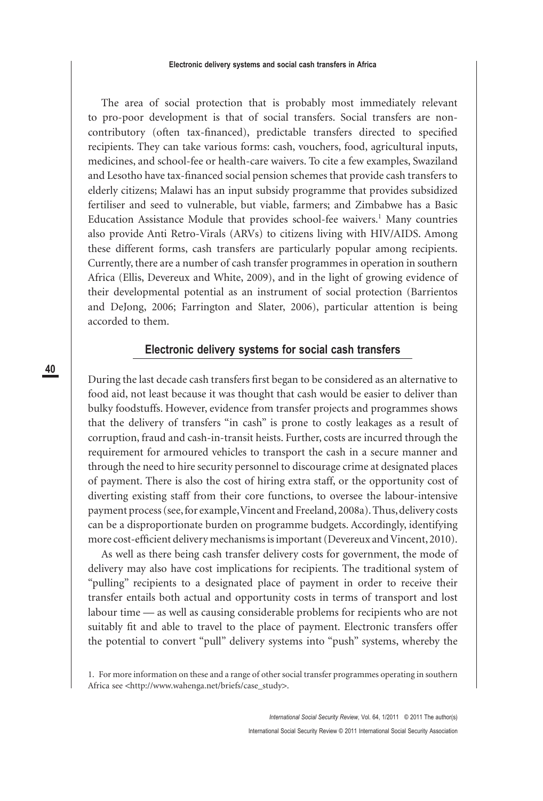The area of social protection that is probably most immediately relevant to pro-poor development is that of social transfers. Social transfers are noncontributory (often tax-financed), predictable transfers directed to specified recipients. They can take various forms: cash, vouchers, food, agricultural inputs, medicines, and school-fee or health-care waivers. To cite a few examples, Swaziland and Lesotho have tax-financed social pension schemes that provide cash transfers to elderly citizens; Malawi has an input subsidy programme that provides subsidized fertiliser and seed to vulnerable, but viable, farmers; and Zimbabwe has a Basic Education Assistance Module that provides school-fee waivers.<sup>1</sup> Many countries also provide Anti Retro-Virals (ARVs) to citizens living with HIV/AIDS. Among these different forms, cash transfers are particularly popular among recipients. Currently, there are a number of cash transfer programmes in operation in southern Africa (Ellis, Devereux and White, 2009), and in the light of growing evidence of their developmental potential as an instrument of social protection (Barrientos and DeJong, 2006; Farrington and Slater, 2006), particular attention is being accorded to them.

## **Electronic delivery systems for social cash transfers**

During the last decade cash transfers first began to be considered as an alternative to food aid, not least because it was thought that cash would be easier to deliver than bulky foodstuffs. However, evidence from transfer projects and programmes shows that the delivery of transfers "in cash" is prone to costly leakages as a result of corruption, fraud and cash-in-transit heists. Further, costs are incurred through the requirement for armoured vehicles to transport the cash in a secure manner and through the need to hire security personnel to discourage crime at designated places of payment. There is also the cost of hiring extra staff, or the opportunity cost of diverting existing staff from their core functions, to oversee the labour-intensive payment process (see,for example,Vincent and Freeland,2008a).Thus, delivery costs can be a disproportionate burden on programme budgets. Accordingly, identifying more cost-efficient delivery mechanisms is important (Devereux and Vincent, 2010).

As well as there being cash transfer delivery costs for government, the mode of delivery may also have cost implications for recipients. The traditional system of "pulling" recipients to a designated place of payment in order to receive their transfer entails both actual and opportunity costs in terms of transport and lost labour time — as well as causing considerable problems for recipients who are not suitably fit and able to travel to the place of payment. Electronic transfers offer the potential to convert "pull" delivery systems into "push" systems, whereby the

<sup>1.</sup> For more information on these and a range of other social transfer programmes operating in southern Africa see <http://www.wahenga.net/briefs/case\_study>.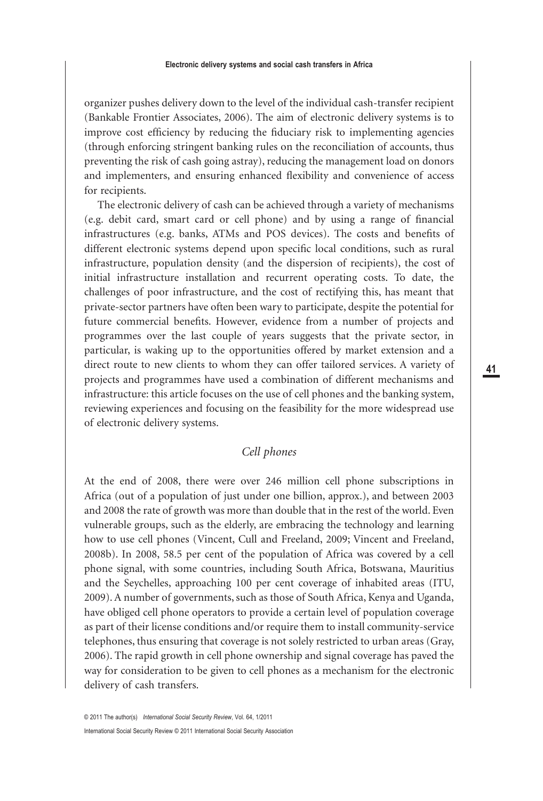organizer pushes delivery down to the level of the individual cash-transfer recipient (Bankable Frontier Associates, 2006). The aim of electronic delivery systems is to improve cost efficiency by reducing the fiduciary risk to implementing agencies (through enforcing stringent banking rules on the reconciliation of accounts, thus preventing the risk of cash going astray), reducing the management load on donors and implementers, and ensuring enhanced flexibility and convenience of access for recipients.

The electronic delivery of cash can be achieved through a variety of mechanisms (e.g. debit card, smart card or cell phone) and by using a range of financial infrastructures (e.g. banks, ATMs and POS devices). The costs and benefits of different electronic systems depend upon specific local conditions, such as rural infrastructure, population density (and the dispersion of recipients), the cost of initial infrastructure installation and recurrent operating costs. To date, the challenges of poor infrastructure, and the cost of rectifying this, has meant that private-sector partners have often been wary to participate, despite the potential for future commercial benefits. However, evidence from a number of projects and programmes over the last couple of years suggests that the private sector, in particular, is waking up to the opportunities offered by market extension and a direct route to new clients to whom they can offer tailored services. A variety of projects and programmes have used a combination of different mechanisms and infrastructure: this article focuses on the use of cell phones and the banking system, reviewing experiences and focusing on the feasibility for the more widespread use of electronic delivery systems.

## *Cell phones*

At the end of 2008, there were over 246 million cell phone subscriptions in Africa (out of a population of just under one billion, approx.), and between 2003 and 2008 the rate of growth was more than double that in the rest of the world. Even vulnerable groups, such as the elderly, are embracing the technology and learning how to use cell phones (Vincent, Cull and Freeland, 2009; Vincent and Freeland, 2008b). In 2008, 58.5 per cent of the population of Africa was covered by a cell phone signal, with some countries, including South Africa, Botswana, Mauritius and the Seychelles, approaching 100 per cent coverage of inhabited areas (ITU, 2009). A number of governments, such as those of South Africa, Kenya and Uganda, have obliged cell phone operators to provide a certain level of population coverage as part of their license conditions and/or require them to install community-service telephones, thus ensuring that coverage is not solely restricted to urban areas (Gray, 2006). The rapid growth in cell phone ownership and signal coverage has paved the way for consideration to be given to cell phones as a mechanism for the electronic delivery of cash transfers.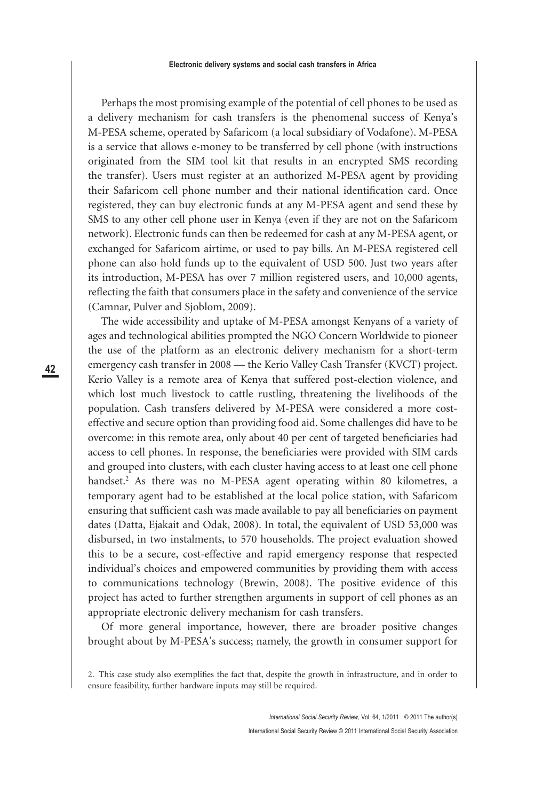Perhaps the most promising example of the potential of cell phones to be used as a delivery mechanism for cash transfers is the phenomenal success of Kenya's M-PESA scheme, operated by Safaricom (a local subsidiary of Vodafone). M-PESA is a service that allows e-money to be transferred by cell phone (with instructions originated from the SIM tool kit that results in an encrypted SMS recording the transfer). Users must register at an authorized M-PESA agent by providing their Safaricom cell phone number and their national identification card. Once registered, they can buy electronic funds at any M-PESA agent and send these by SMS to any other cell phone user in Kenya (even if they are not on the Safaricom network). Electronic funds can then be redeemed for cash at any M-PESA agent, or exchanged for Safaricom airtime, or used to pay bills. An M-PESA registered cell phone can also hold funds up to the equivalent of USD 500. Just two years after its introduction, M-PESA has over 7 million registered users, and 10,000 agents, reflecting the faith that consumers place in the safety and convenience of the service (Camnar, Pulver and Sjoblom, 2009).

The wide accessibility and uptake of M-PESA amongst Kenyans of a variety of ages and technological abilities prompted the NGO Concern Worldwide to pioneer the use of the platform as an electronic delivery mechanism for a short-term emergency cash transfer in 2008 — the Kerio Valley Cash Transfer (KVCT) project. Kerio Valley is a remote area of Kenya that suffered post-election violence, and which lost much livestock to cattle rustling, threatening the livelihoods of the population. Cash transfers delivered by M-PESA were considered a more costeffective and secure option than providing food aid. Some challenges did have to be overcome: in this remote area, only about 40 per cent of targeted beneficiaries had access to cell phones. In response, the beneficiaries were provided with SIM cards and grouped into clusters, with each cluster having access to at least one cell phone handset.<sup>2</sup> As there was no M-PESA agent operating within 80 kilometres, a temporary agent had to be established at the local police station, with Safaricom ensuring that sufficient cash was made available to pay all beneficiaries on payment dates (Datta, Ejakait and Odak, 2008). In total, the equivalent of USD 53,000 was disbursed, in two instalments, to 570 households. The project evaluation showed this to be a secure, cost-effective and rapid emergency response that respected individual's choices and empowered communities by providing them with access to communications technology (Brewin, 2008). The positive evidence of this project has acted to further strengthen arguments in support of cell phones as an appropriate electronic delivery mechanism for cash transfers.

Of more general importance, however, there are broader positive changes brought about by M-PESA's success; namely, the growth in consumer support for

<sup>2.</sup> This case study also exemplifies the fact that, despite the growth in infrastructure, and in order to ensure feasibility, further hardware inputs may still be required.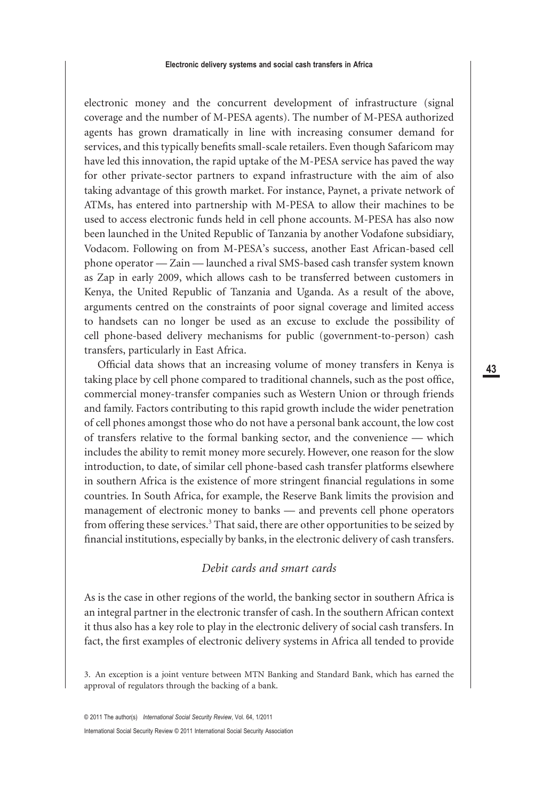electronic money and the concurrent development of infrastructure (signal coverage and the number of M-PESA agents). The number of M-PESA authorized agents has grown dramatically in line with increasing consumer demand for services, and this typically benefits small-scale retailers. Even though Safaricom may have led this innovation, the rapid uptake of the M-PESA service has paved the way for other private-sector partners to expand infrastructure with the aim of also taking advantage of this growth market. For instance, Paynet, a private network of ATMs, has entered into partnership with M-PESA to allow their machines to be used to access electronic funds held in cell phone accounts. M-PESA has also now been launched in the United Republic of Tanzania by another Vodafone subsidiary, Vodacom. Following on from M-PESA's success, another East African-based cell phone operator — Zain — launched a rival SMS-based cash transfer system known as Zap in early 2009, which allows cash to be transferred between customers in Kenya, the United Republic of Tanzania and Uganda. As a result of the above, arguments centred on the constraints of poor signal coverage and limited access to handsets can no longer be used as an excuse to exclude the possibility of cell phone-based delivery mechanisms for public (government-to-person) cash transfers, particularly in East Africa.

Official data shows that an increasing volume of money transfers in Kenya is taking place by cell phone compared to traditional channels, such as the post office, commercial money-transfer companies such as Western Union or through friends and family. Factors contributing to this rapid growth include the wider penetration of cell phones amongst those who do not have a personal bank account, the low cost of transfers relative to the formal banking sector, and the convenience — which includes the ability to remit money more securely. However, one reason for the slow introduction, to date, of similar cell phone-based cash transfer platforms elsewhere in southern Africa is the existence of more stringent financial regulations in some countries. In South Africa, for example, the Reserve Bank limits the provision and management of electronic money to banks — and prevents cell phone operators from offering these services.<sup>3</sup> That said, there are other opportunities to be seized by financial institutions, especially by banks, in the electronic delivery of cash transfers.

## *Debit cards and smart cards*

As is the case in other regions of the world, the banking sector in southern Africa is an integral partner in the electronic transfer of cash. In the southern African context it thus also has a key role to play in the electronic delivery of social cash transfers. In fact, the first examples of electronic delivery systems in Africa all tended to provide

<sup>3.</sup> An exception is a joint venture between MTN Banking and Standard Bank, which has earned the approval of regulators through the backing of a bank.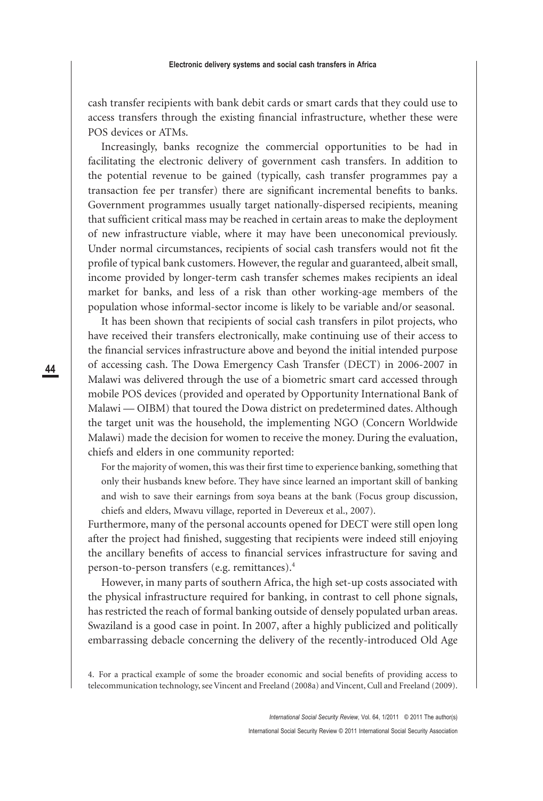cash transfer recipients with bank debit cards or smart cards that they could use to access transfers through the existing financial infrastructure, whether these were POS devices or ATMs.

Increasingly, banks recognize the commercial opportunities to be had in facilitating the electronic delivery of government cash transfers. In addition to the potential revenue to be gained (typically, cash transfer programmes pay a transaction fee per transfer) there are significant incremental benefits to banks. Government programmes usually target nationally-dispersed recipients, meaning that sufficient critical mass may be reached in certain areas to make the deployment of new infrastructure viable, where it may have been uneconomical previously. Under normal circumstances, recipients of social cash transfers would not fit the profile of typical bank customers. However, the regular and guaranteed, albeit small, income provided by longer-term cash transfer schemes makes recipients an ideal market for banks, and less of a risk than other working-age members of the population whose informal-sector income is likely to be variable and/or seasonal.

It has been shown that recipients of social cash transfers in pilot projects, who have received their transfers electronically, make continuing use of their access to the financial services infrastructure above and beyond the initial intended purpose of accessing cash. The Dowa Emergency Cash Transfer (DECT) in 2006-2007 in Malawi was delivered through the use of a biometric smart card accessed through mobile POS devices (provided and operated by Opportunity International Bank of Malawi — OIBM) that toured the Dowa district on predetermined dates. Although the target unit was the household, the implementing NGO (Concern Worldwide Malawi) made the decision for women to receive the money. During the evaluation, chiefs and elders in one community reported:

For the majority of women, this was their first time to experience banking, something that only their husbands knew before. They have since learned an important skill of banking and wish to save their earnings from soya beans at the bank (Focus group discussion, chiefs and elders, Mwavu village, reported in Devereux et al., 2007).

Furthermore, many of the personal accounts opened for DECT were still open long after the project had finished, suggesting that recipients were indeed still enjoying the ancillary benefits of access to financial services infrastructure for saving and person-to-person transfers (e.g. remittances).4

However, in many parts of southern Africa, the high set-up costs associated with the physical infrastructure required for banking, in contrast to cell phone signals, has restricted the reach of formal banking outside of densely populated urban areas. Swaziland is a good case in point. In 2007, after a highly publicized and politically embarrassing debacle concerning the delivery of the recently-introduced Old Age

4. For a practical example of some the broader economic and social benefits of providing access to telecommunication technology, see Vincent and Freeland (2008a) and Vincent, Cull and Freeland (2009).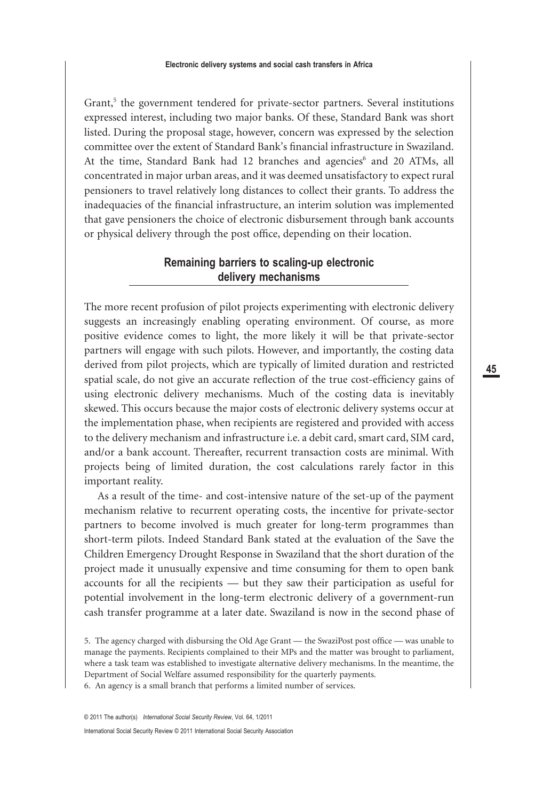Grant,<sup>5</sup> the government tendered for private-sector partners. Several institutions expressed interest, including two major banks. Of these, Standard Bank was short listed. During the proposal stage, however, concern was expressed by the selection committee over the extent of Standard Bank's financial infrastructure in Swaziland. At the time, Standard Bank had 12 branches and agencies<sup>6</sup> and 20 ATMs, all concentrated in major urban areas, and it was deemed unsatisfactory to expect rural pensioners to travel relatively long distances to collect their grants. To address the inadequacies of the financial infrastructure, an interim solution was implemented that gave pensioners the choice of electronic disbursement through bank accounts or physical delivery through the post office, depending on their location.

## **Remaining barriers to scaling-up electronic delivery mechanisms**

The more recent profusion of pilot projects experimenting with electronic delivery suggests an increasingly enabling operating environment. Of course, as more positive evidence comes to light, the more likely it will be that private-sector partners will engage with such pilots. However, and importantly, the costing data derived from pilot projects, which are typically of limited duration and restricted spatial scale, do not give an accurate reflection of the true cost-efficiency gains of using electronic delivery mechanisms. Much of the costing data is inevitably skewed. This occurs because the major costs of electronic delivery systems occur at the implementation phase, when recipients are registered and provided with access to the delivery mechanism and infrastructure i.e. a debit card, smart card, SIM card, and/or a bank account. Thereafter, recurrent transaction costs are minimal. With projects being of limited duration, the cost calculations rarely factor in this important reality.

As a result of the time- and cost-intensive nature of the set-up of the payment mechanism relative to recurrent operating costs, the incentive for private-sector partners to become involved is much greater for long-term programmes than short-term pilots. Indeed Standard Bank stated at the evaluation of the Save the Children Emergency Drought Response in Swaziland that the short duration of the project made it unusually expensive and time consuming for them to open bank accounts for all the recipients — but they saw their participation as useful for potential involvement in the long-term electronic delivery of a government-run cash transfer programme at a later date. Swaziland is now in the second phase of

5. The agency charged with disbursing the Old Age Grant — the SwaziPost post office — was unable to manage the payments. Recipients complained to their MPs and the matter was brought to parliament, where a task team was established to investigate alternative delivery mechanisms. In the meantime, the Department of Social Welfare assumed responsibility for the quarterly payments. 6. An agency is a small branch that performs a limited number of services.

© 2011 The author(s) *International Social Security Review*, Vol. 64, 1/2011 International Social Security Review © 2011 International Social Security Association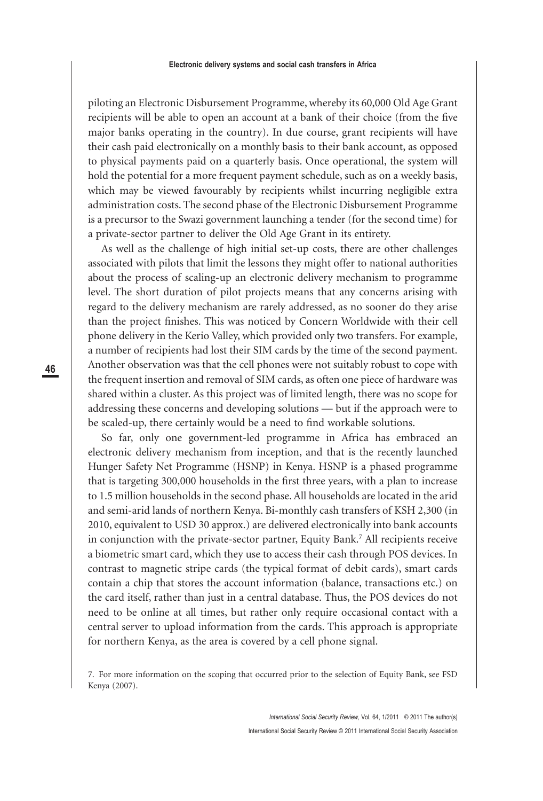piloting an Electronic Disbursement Programme, whereby its 60,000 Old Age Grant recipients will be able to open an account at a bank of their choice (from the five major banks operating in the country). In due course, grant recipients will have their cash paid electronically on a monthly basis to their bank account, as opposed to physical payments paid on a quarterly basis. Once operational, the system will hold the potential for a more frequent payment schedule, such as on a weekly basis, which may be viewed favourably by recipients whilst incurring negligible extra administration costs. The second phase of the Electronic Disbursement Programme is a precursor to the Swazi government launching a tender (for the second time) for a private-sector partner to deliver the Old Age Grant in its entirety.

As well as the challenge of high initial set-up costs, there are other challenges associated with pilots that limit the lessons they might offer to national authorities about the process of scaling-up an electronic delivery mechanism to programme level. The short duration of pilot projects means that any concerns arising with regard to the delivery mechanism are rarely addressed, as no sooner do they arise than the project finishes. This was noticed by Concern Worldwide with their cell phone delivery in the Kerio Valley, which provided only two transfers. For example, a number of recipients had lost their SIM cards by the time of the second payment. Another observation was that the cell phones were not suitably robust to cope with the frequent insertion and removal of SIM cards, as often one piece of hardware was shared within a cluster. As this project was of limited length, there was no scope for addressing these concerns and developing solutions — but if the approach were to be scaled-up, there certainly would be a need to find workable solutions.

So far, only one government-led programme in Africa has embraced an electronic delivery mechanism from inception, and that is the recently launched Hunger Safety Net Programme (HSNP) in Kenya. HSNP is a phased programme that is targeting 300,000 households in the first three years, with a plan to increase to 1.5 million households in the second phase. All households are located in the arid and semi-arid lands of northern Kenya. Bi-monthly cash transfers of KSH 2,300 (in 2010, equivalent to USD 30 approx.) are delivered electronically into bank accounts in conjunction with the private-sector partner, Equity Bank.<sup>7</sup> All recipients receive a biometric smart card, which they use to access their cash through POS devices. In contrast to magnetic stripe cards (the typical format of debit cards), smart cards contain a chip that stores the account information (balance, transactions etc.) on the card itself, rather than just in a central database. Thus, the POS devices do not need to be online at all times, but rather only require occasional contact with a central server to upload information from the cards. This approach is appropriate for northern Kenya, as the area is covered by a cell phone signal.

7. For more information on the scoping that occurred prior to the selection of Equity Bank, see FSD Kenya (2007).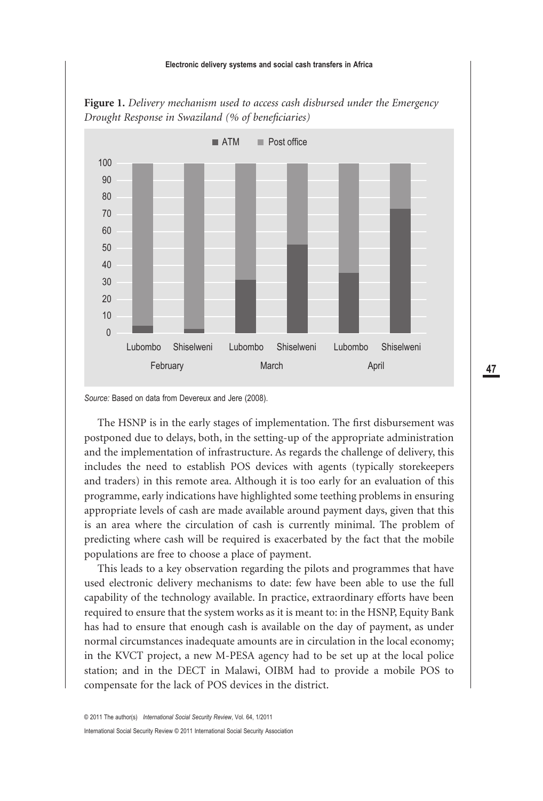





*Source:* Based on data from Devereux and Jere (2008).

The HSNP is in the early stages of implementation. The first disbursement was postponed due to delays, both, in the setting-up of the appropriate administration and the implementation of infrastructure. As regards the challenge of delivery, this includes the need to establish POS devices with agents (typically storekeepers and traders) in this remote area. Although it is too early for an evaluation of this programme, early indications have highlighted some teething problems in ensuring appropriate levels of cash are made available around payment days, given that this is an area where the circulation of cash is currently minimal. The problem of predicting where cash will be required is exacerbated by the fact that the mobile populations are free to choose a place of payment.

This leads to a key observation regarding the pilots and programmes that have used electronic delivery mechanisms to date: few have been able to use the full capability of the technology available. In practice, extraordinary efforts have been required to ensure that the system works as it is meant to: in the HSNP, Equity Bank has had to ensure that enough cash is available on the day of payment, as under normal circumstances inadequate amounts are in circulation in the local economy; in the KVCT project, a new M-PESA agency had to be set up at the local police station; and in the DECT in Malawi, OIBM had to provide a mobile POS to compensate for the lack of POS devices in the district.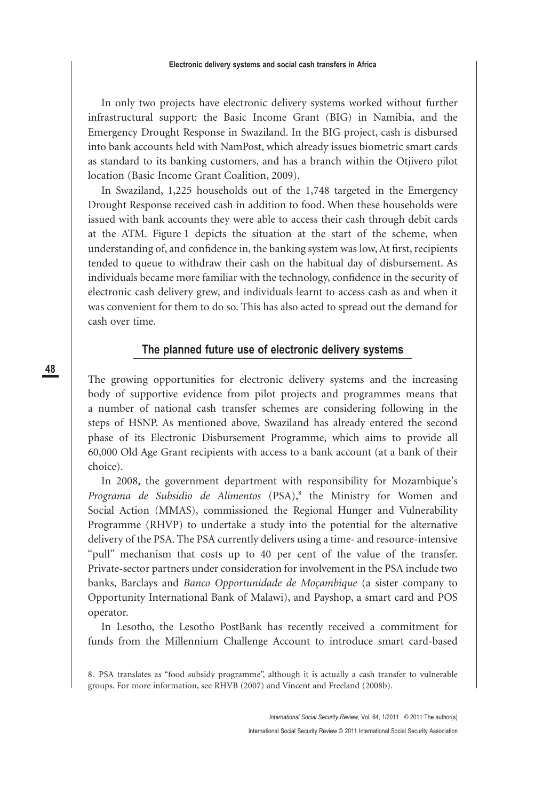In only two projects have electronic delivery systems worked without further infrastructural support: the Basic Income Grant (BIG) in Namibia, and the Emergency Drought Response in Swaziland. In the BIG project, cash is disbursed into bank accounts held with NamPost, which already issues biometric smart cards as standard to its banking customers, and has a branch within the Otjivero pilot location (Basic Income Grant Coalition, 2009).

In Swaziland, 1,225 households out of the 1,748 targeted in the Emergency Drought Response received cash in addition to food. When these households were issued with bank accounts they were able to access their cash through debit cards at the ATM. Figure 1 depicts the situation at the start of the scheme, when understanding of, and confidence in, the banking system was low, At first, recipients tended to queue to withdraw their cash on the habitual day of disbursement. As individuals became more familiar with the technology, confidence in the security of electronic cash delivery grew, and individuals learnt to access cash as and when it was convenient for them to do so. This has also acted to spread out the demand for cash over time.

## **The planned future use of electronic delivery systems**

The growing opportunities for electronic delivery systems and the increasing body of supportive evidence from pilot projects and programmes means that a number of national cash transfer schemes are considering following in the steps of HSNP. As mentioned above, Swaziland has already entered the second phase of its Electronic Disbursement Programme, which aims to provide all 60,000 Old Age Grant recipients with access to a bank account (at a bank of their choice).

In 2008, the government department with responsibility for Mozambique's Programa de Subsidio de Alimentos (PSA),<sup>8</sup> the Ministry for Women and Social Action (MMAS), commissioned the Regional Hunger and Vulnerability Programme (RHVP) to undertake a study into the potential for the alternative delivery of the PSA. The PSA currently delivers using a time- and resource-intensive "pull" mechanism that costs up to 40 per cent of the value of the transfer. Private-sector partners under consideration for involvement in the PSA include two banks, Barclays and *Banco Opportunidade de Moçambique* (a sister company to Opportunity International Bank of Malawi), and Payshop, a smart card and POS operator.

In Lesotho, the Lesotho PostBank has recently received a commitment for funds from the Millennium Challenge Account to introduce smart card-based

<sup>8.</sup> PSA translates as "food subsidy programme", although it is actually a cash transfer to vulnerable groups. For more information, see RHVB (2007) and Vincent and Freeland (2008b).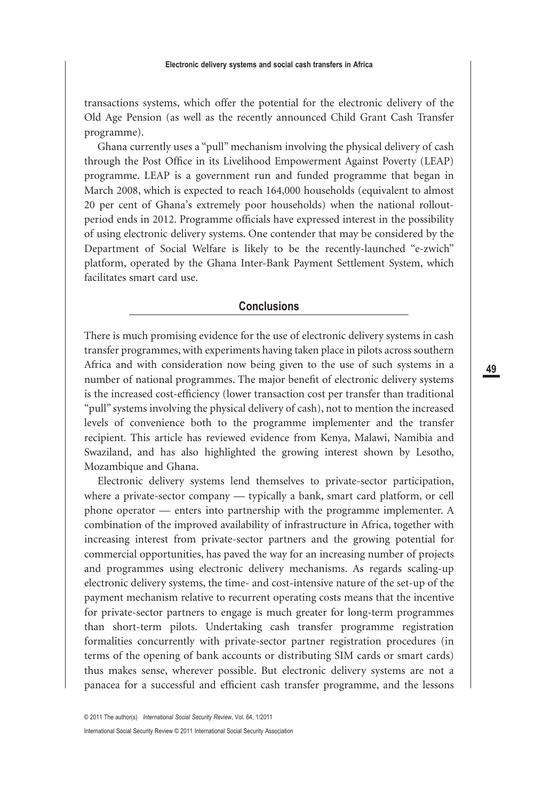transactions systems, which offer the potential for the electronic delivery of the Old Age Pension (as well as the recently announced Child Grant Cash Transfer programme).

Ghana currently uses a "pull" mechanism involving the physical delivery of cash through the Post Office in its Livelihood Empowerment Against Poverty (LEAP) programme. LEAP is a government run and funded programme that began in March 2008, which is expected to reach 164,000 households (equivalent to almost 20 per cent of Ghana's extremely poor households) when the national rolloutperiod ends in 2012. Programme officials have expressed interest in the possibility of using electronic delivery systems. One contender that may be considered by the Department of Social Welfare is likely to be the recently-launched "e-zwich" platform, operated by the Ghana Inter-Bank Payment Settlement System, which facilitates smart card use.

## **Conclusions**

There is much promising evidence for the use of electronic delivery systems in cash transfer programmes, with experiments having taken place in pilots across southern Africa and with consideration now being given to the use of such systems in a number of national programmes. The major benefit of electronic delivery systems is the increased cost-efficiency (lower transaction cost per transfer than traditional "pull" systems involving the physical delivery of cash), not to mention the increased levels of convenience both to the programme implementer and the transfer recipient. This article has reviewed evidence from Kenya, Malawi, Namibia and Swaziland, and has also highlighted the growing interest shown by Lesotho, Mozambique and Ghana.

Electronic delivery systems lend themselves to private-sector participation, where a private-sector company — typically a bank, smart card platform, or cell phone operator — enters into partnership with the programme implementer. A combination of the improved availability of infrastructure in Africa, together with increasing interest from private-sector partners and the growing potential for commercial opportunities, has paved the way for an increasing number of projects and programmes using electronic delivery mechanisms. As regards scaling-up electronic delivery systems, the time- and cost-intensive nature of the set-up of the payment mechanism relative to recurrent operating costs means that the incentive for private-sector partners to engage is much greater for long-term programmes than short-term pilots. Undertaking cash transfer programme registration formalities concurrently with private-sector partner registration procedures (in terms of the opening of bank accounts or distributing SIM cards or smart cards) thus makes sense, wherever possible. But electronic delivery systems are not a panacea for a successful and efficient cash transfer programme, and the lessons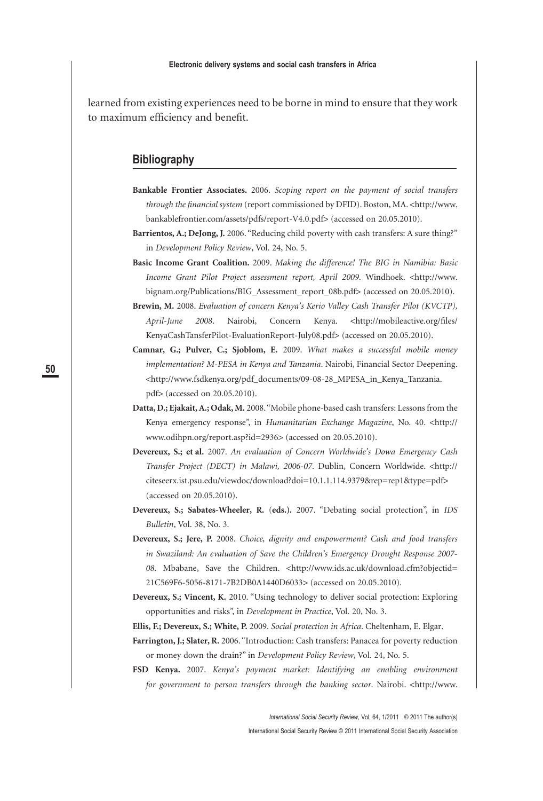learned from existing experiences need to be borne in mind to ensure that they work to maximum efficiency and benefit.

#### **Bibliography**

- **Bankable Frontier Associates.** 2006. *Scoping report on the payment of social transfers through the financial system* (report commissioned by DFID). Boston, MA. <http://www. bankablefrontier.com/assets/pdfs/report-V4.0.pdf> (accessed on 20.05.2010).
- **Barrientos, A.; DeJong, J.** 2006. "Reducing child poverty with cash transfers: A sure thing?" in *Development Policy Review*, Vol. 24, No. 5.
- **Basic Income Grant Coalition.** 2009. *Making the difference! The BIG in Namibia: Basic Income Grant Pilot Project assessment report, April 2009*. Windhoek. <http://www. bignam.org/Publications/BIG\_Assessment\_report\_08b.pdf> (accessed on 20.05.2010).
- **Brewin, M.** 2008. *Evaluation of concern Kenya's Kerio Valley Cash Transfer Pilot (KVCTP), April-June 2008*. Nairobi, Concern Kenya. <http://mobileactive.org/files/ KenyaCashTansferPilot-EvaluationReport-July08.pdf> (accessed on 20.05.2010).
- **Camnar, G.; Pulver, C.; Sjoblom, E.** 2009. *What makes a successful mobile money implementation? M-PESA in Kenya and Tanzania*. Nairobi, Financial Sector Deepening. <http://www.fsdkenya.org/pdf\_documents/09-08-28\_MPESA\_in\_Kenya\_Tanzania. pdf> (accessed on 20.05.2010).
- **Datta, D.; Ejakait, A.; Odak, M.** 2008."Mobile phone-based cash transfers: Lessons from the Kenya emergency response", in *Humanitarian Exchange Magazine*, No. 40. <http:// www.odihpn.org/report.asp?id=2936> (accessed on 20.05.2010).
- **Devereux, S.; et al.** 2007. *An evaluation of Concern Worldwide's Dowa Emergency Cash Transfer Project (DECT) in Malawi, 2006-07*. Dublin, Concern Worldwide. <http:// citeseerx.ist.psu.edu/viewdoc/download?doi=10.1.1.114.9379&rep=rep1&type=pdf> (accessed on 20.05.2010).
- **Devereux, S.; Sabates-Wheeler, R.** (**eds.).** 2007. "Debating social protection", in *IDS Bulletin*, Vol. 38, No. 3.
- **Devereux, S.; Jere, P.** 2008. *Choice, dignity and empowerment? Cash and food transfers in Swaziland: An evaluation of Save the Children's Emergency Drought Response 2007-* 08. Mbabane, Save the Children. <http://www.ids.ac.uk/download.cfm?objectid= 21C569F6-5056-8171-7B2DB0A1440D6033> (accessed on 20.05.2010).
- **Devereux, S.; Vincent, K.** 2010. "Using technology to deliver social protection: Exploring opportunities and risks", in *Development in Practice*, Vol. 20, No. 3.
- **Ellis, F.; Devereux, S.; White, P.** 2009. *Social protection in Africa*. Cheltenham, E. Elgar.

**Farrington, J.; Slater, R.** 2006. "Introduction: Cash transfers: Panacea for poverty reduction or money down the drain?" in *Development Policy Review*, Vol. 24, No. 5.

**FSD Kenya.** 2007. *Kenya's payment market: Identifying an enabling environment for government to person transfers through the banking sector*. Nairobi. <http://www.